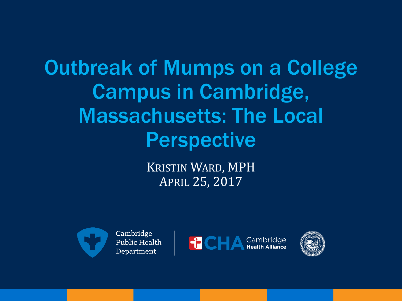Outbreak of Mumps on a College Campus in Cambridge, Massachusetts: The Local Perspective

> KRISTIN WARD, MPH APRIL 25, 2017





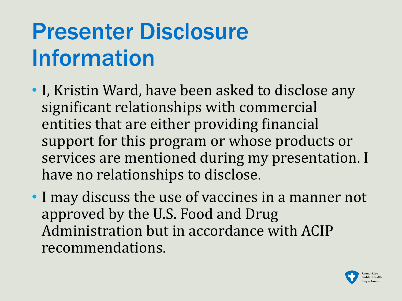# Presenter Disclosure Information

- I, Kristin Ward, have been asked to disclose any significant relationships with commercial entities that are either providing financial support for this program or whose products or services are mentioned during my presentation. I have no relationships to disclose.
- I may discuss the use of vaccines in a manner not approved by the U.S. Food and Drug Administration but in accordance with ACIP recommendations.

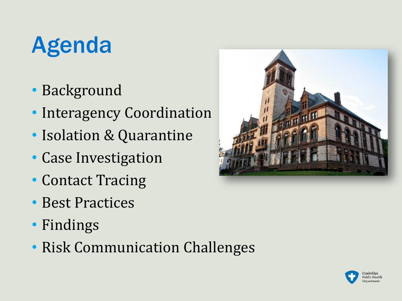# Agenda

- Background
- Interagency Coordination
- Isolation & Quarantine
- Case Investigation
- Contact Tracing
- Best Practices
- Findings
- Risk Communication Challenges



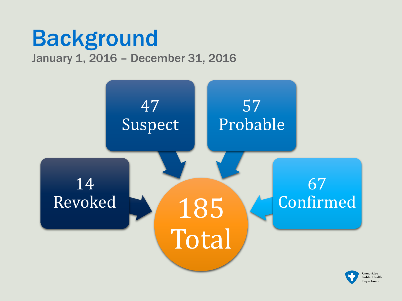### Background January 1, 2016 – December 31, 2016

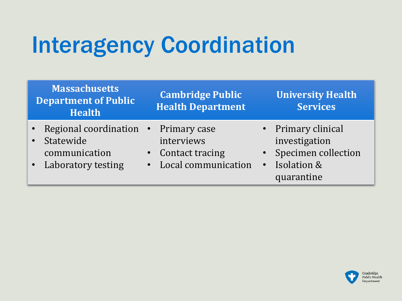## Interagency Coordination

| <b>Massachusetts</b><br><b>Department of Public</b><br><b>Health</b>                       | <b>Cambridge Public</b><br><b>Health Department</b>  | <b>University Health</b><br><b>Services</b>                                                            |
|--------------------------------------------------------------------------------------------|------------------------------------------------------|--------------------------------------------------------------------------------------------------------|
| • Regional coordination • Primary case<br>Statewide<br>communication<br>Laboratory testing | interviews<br>Contact tracing<br>Local communication | • Primary clinical<br>investigation<br>• Specimen collection<br>Isolation &<br>$\bullet$<br>quarantine |

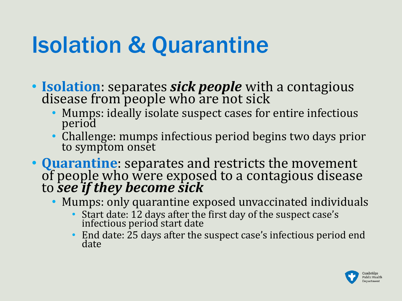- **Isolation**: separates *sick people* with a contagious disease from people who are not sick
	- Mumps: ideally isolate suspect cases for entire infectious period
	- Challenge: mumps infectious period begins two days prior to symptom onset
- **Quarantine**: separates and restricts the movement of people who were exposed to a contagious disease to *see if they become sick*
	- Mumps: only quarantine exposed unvaccinated individuals
		- Start date: 12 days after the first day of the suspect case's infectious period start date
		- End date: 25 days after the suspect case's infectious period end date

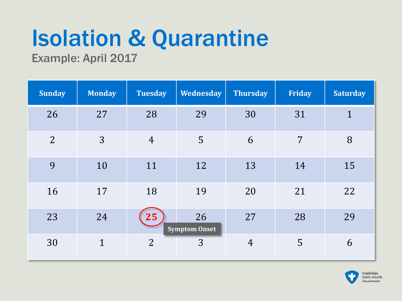Example: April 2017

| <b>Sunday</b>  | <b>Monday</b> | <b>Tuesday</b> | <b>Wednesday</b>           | <b>Thursday</b> | <b>Friday</b> | <b>Saturday</b> |
|----------------|---------------|----------------|----------------------------|-----------------|---------------|-----------------|
| 26             | 27            | 28             | 29                         | 30              | 31            | $\mathbf{1}$    |
| $\overline{2}$ | 3             | $\overline{4}$ | 5                          | 6               | 7             | 8               |
| 9              | 10            | 11             | 12                         | 13              | 14            | 15              |
| 16             | 17            | 18             | 19                         | 20              | 21            | 22              |
| 23             | 24            | 25             | 26<br><b>Symptom Onset</b> | 27              | 28            | 29              |
| 30             | $\mathbf{1}$  | $\overline{2}$ | 3                          | $\overline{4}$  | 5             | 6               |

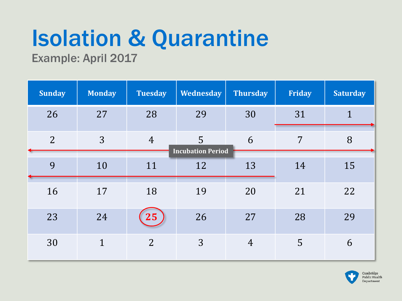Example: April 2017

| <b>Sunday</b>  | <b>Monday</b> | <b>Tuesday</b> | <b>Wednesday</b>              | <b>Thursday</b> | Friday | <b>Saturday</b> |
|----------------|---------------|----------------|-------------------------------|-----------------|--------|-----------------|
| 26             | 27            | 28             | 29                            | 30              | 31     | $\mathbf{1}$    |
| $\overline{2}$ | 3             | $\overline{4}$ | 5<br><b>Incubation Period</b> | 6               | 7      | 8               |
| 9              | 10            | 11             | 12                            | 13              | 14     | 15              |
| 16             | 17            | 18             | 19                            | 20              | 21     | 22              |
| 23             | 24            | 25             | 26                            | 27              | 28     | 29              |
| 30             | $\mathbf{1}$  | $\overline{2}$ | 3                             | $\overline{4}$  | 5      | 6               |

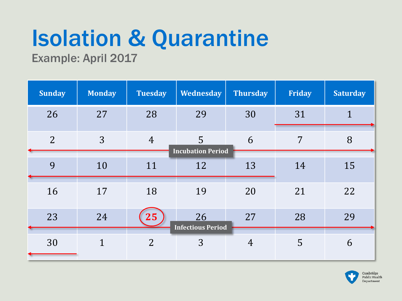Example: April 2017

| <b>Sunday</b>  | <b>Monday</b> | <b>Tuesday</b> | <b>Wednesday</b>               | <b>Thursday</b> | <b>Friday</b> | <b>Saturday</b> |
|----------------|---------------|----------------|--------------------------------|-----------------|---------------|-----------------|
| 26             | 27            | 28             | 29                             | 30              | 31            | 1               |
| $\overline{2}$ | 3             | $\overline{4}$ | 5<br><b>Incubation Period</b>  | 6               | 7             | 8               |
| 9              | 10            | 11             | 12                             | 13              | 14            | 15              |
| 16             | 17            | 18             | 19                             | 20              | 21            | 22              |
| 23             | 24            | 25             | 26<br><b>Infectious Period</b> | 27              | 28            | 29              |
| 30             | $\mathbf{1}$  | $\overline{2}$ | 3                              | $\overline{4}$  | 5             | 6               |

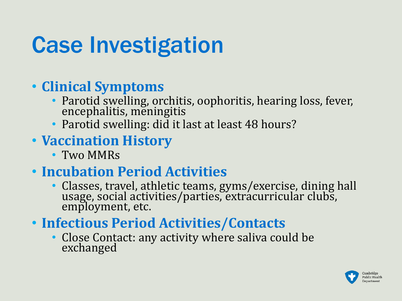## Case Investigation

#### • **Clinical Symptoms**

- Parotid swelling, orchitis, oophoritis, hearing loss, fever, encephalitis, meningitis
- Parotid swelling: did it last at least 48 hours?

#### • **Vaccination History**

• Two MMRs

#### • **Incubation Period Activities**

- Classes, travel, athletic teams, gyms/exercise, dining hall usage, social activities/parties, extracurricular clubs, employment, etc.
- **Infectious Period Activities/Contacts**
	- Close Contact: any activity where saliva could be exchanged

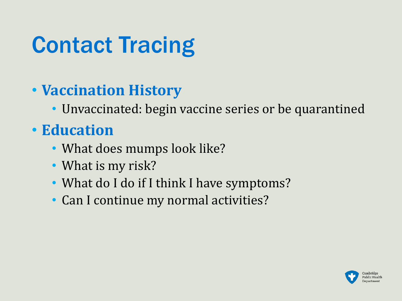# Contact Tracing

#### • **Vaccination History**

• Unvaccinated: begin vaccine series or be quarantined

### • **Education**

- What does mumps look like?
- What is my risk?
- What do I do if I think I have symptoms?
- Can I continue my normal activities?

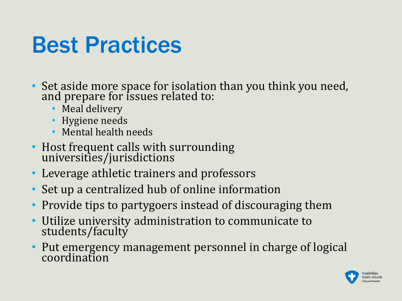### Best Practices

- Set aside more space for isolation than you think you need, and prepare for issues related to:
	- Meal delivery
	- Hygiene needs
	- Mental health needs
- Host frequent calls with surrounding universities/jurisdictions
- Leverage athletic trainers and professors
- Set up a centralized hub of online information
- Provide tips to partygoers instead of discouraging them
- Utilize university administration to communicate to students/faculty
- Put emergency management personnel in charge of logical coordination

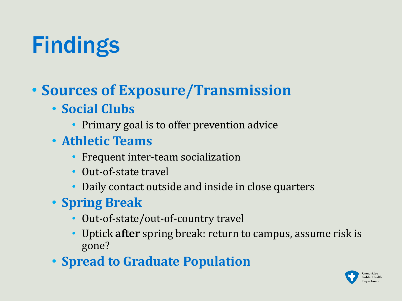## Findings

### • **Sources of Exposure/Transmission**

- **Social Clubs**
	- Primary goal is to offer prevention advice
- **Athletic Teams**
	- Frequent inter-team socialization
	- Out-of-state travel
	- Daily contact outside and inside in close quarters
- **Spring Break**
	- Out-of-state/out-of-country travel
	- Uptick **after** spring break: return to campus, assume risk is gone?
- **Spread to Graduate Population**

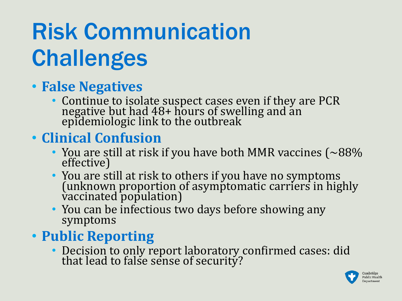# Risk Communication **Challenges**

#### • **False Negatives**

• Continue to isolate suspect cases even if they are PCR negative but had 48+ hours of swelling and an epidemiologic link to the outbreak

#### • **Clinical Confusion**

- You are still at risk if you have both MMR vaccines ( $\sim$ 88%) effective)
- You are still at risk to others if you have no symptoms (unknown proportion of asymptomatic carriers in highly vaccinated population)
- You can be infectious two days before showing any symptoms

#### • **Public Reporting**

• Decision to only report laboratory confirmed cases: did that lead to false sense of security?

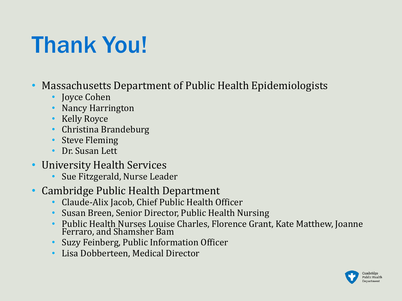## Thank You!

- Massachusetts Department of Public Health Epidemiologists
	- **Joyce Cohen**
	- Nancy Harrington
	- Kelly Royce
	- Christina Brandeburg
	- Steve Fleming
	- Dr. Susan Lett
- University Health Services
	- Sue Fitzgerald, Nurse Leader
- Cambridge Public Health Department
	- Claude-Alix Jacob, Chief Public Health Officer
	- Susan Breen, Senior Director, Public Health Nursing
	- Public Health Nurses Louise Charles, Florence Grant, Kate Matthew, Joanne Ferraro, and Shamsher Bam
	- Suzy Feinberg, Public Information Officer
	- Lisa Dobberteen, Medical Director